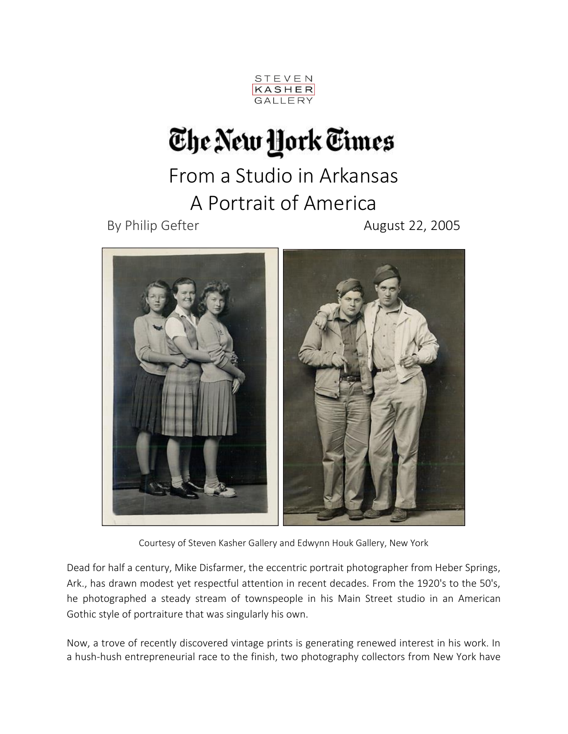

## The New York Times

## From a Studio in Arkansas A Portrait of America

By Philip Gefter **August 22, 2005** 



Courtesy of Steven Kasher Gallery and Edwynn Houk Gallery, New York

Dead for half a century, Mike Disfarmer, the eccentric portrait photographer from Heber Springs, Ark., has drawn modest yet respectful attention in recent decades. From the 1920's to the 50's, he photographed a steady stream of townspeople in his Main Street studio in an American Gothic style of portraiture that was singularly his own.

Now, a trove of recently discovered vintage prints is generating renewed interest in his work. In a hush-hush entrepreneurial race to the finish, two photography collectors from New York have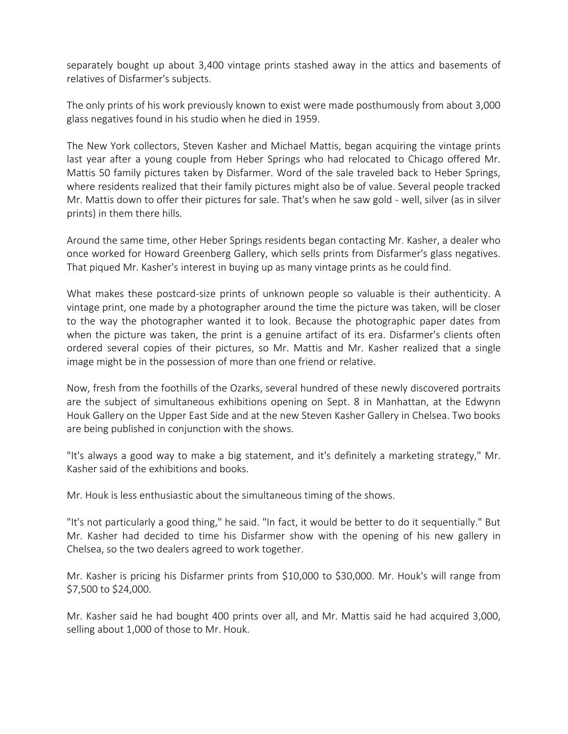separately bought up about 3,400 vintage prints stashed away in the attics and basements of relatives of Disfarmer's subjects.

The only prints of his work previously known to exist were made posthumously from about 3,000 glass negatives found in his studio when he died in 1959.

The New York collectors, Steven Kasher and Michael Mattis, began acquiring the vintage prints last year after a young couple from Heber Springs who had relocated to Chicago offered Mr. Mattis 50 family pictures taken by Disfarmer. Word of the sale traveled back to Heber Springs, where residents realized that their family pictures might also be of value. Several people tracked Mr. Mattis down to offer their pictures for sale. That's when he saw gold - well, silver (as in silver prints) in them there hills.

Around the same time, other Heber Springs residents began contacting Mr. Kasher, a dealer who once worked for Howard Greenberg Gallery, which sells prints from Disfarmer's glass negatives. That piqued Mr. Kasher's interest in buying up as many vintage prints as he could find.

What makes these postcard-size prints of unknown people so valuable is their authenticity. A vintage print, one made by a photographer around the time the picture was taken, will be closer to the way the photographer wanted it to look. Because the photographic paper dates from when the picture was taken, the print is a genuine artifact of its era. Disfarmer's clients often ordered several copies of their pictures, so Mr. Mattis and Mr. Kasher realized that a single image might be in the possession of more than one friend or relative.

Now, fresh from the foothills of the Ozarks, several hundred of these newly discovered portraits are the subject of simultaneous exhibitions opening on Sept. 8 in Manhattan, at the Edwynn Houk Gallery on the Upper East Side and at the new Steven Kasher Gallery in Chelsea. Two books are being published in conjunction with the shows.

"It's always a good way to make a big statement, and it's definitely a marketing strategy," Mr. Kasher said of the exhibitions and books.

Mr. Houk is less enthusiastic about the simultaneous timing of the shows.

"It's not particularly a good thing," he said. "In fact, it would be better to do it sequentially." But Mr. Kasher had decided to time his Disfarmer show with the opening of his new gallery in Chelsea, so the two dealers agreed to work together.

Mr. Kasher is pricing his Disfarmer prints from \$10,000 to \$30,000. Mr. Houk's will range from \$7,500 to \$24,000.

Mr. Kasher said he had bought 400 prints over all, and Mr. Mattis said he had acquired 3,000, selling about 1,000 of those to Mr. Houk.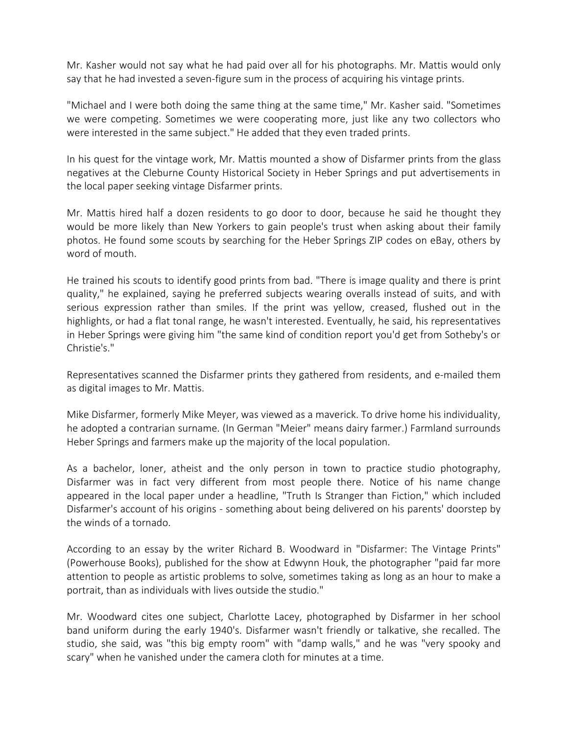Mr. Kasher would not say what he had paid over all for his photographs. Mr. Mattis would only say that he had invested a seven-figure sum in the process of acquiring his vintage prints.

"Michael and I were both doing the same thing at the same time," Mr. Kasher said. "Sometimes we were competing. Sometimes we were cooperating more, just like any two collectors who were interested in the same subject." He added that they even traded prints.

In his quest for the vintage work, Mr. Mattis mounted a show of Disfarmer prints from the glass negatives at the Cleburne County Historical Society in Heber Springs and put advertisements in the local paper seeking vintage Disfarmer prints.

Mr. Mattis hired half a dozen residents to go door to door, because he said he thought they would be more likely than New Yorkers to gain people's trust when asking about their family photos. He found some scouts by searching for the Heber Springs ZIP codes on eBay, others by word of mouth.

He trained his scouts to identify good prints from bad. "There is image quality and there is print quality," he explained, saying he preferred subjects wearing overalls instead of suits, and with serious expression rather than smiles. If the print was yellow, creased, flushed out in the highlights, or had a flat tonal range, he wasn't interested. Eventually, he said, his representatives in Heber Springs were giving him "the same kind of condition report you'd get from Sotheby's or Christie's."

Representatives scanned the Disfarmer prints they gathered from residents, and e-mailed them as digital images to Mr. Mattis.

Mike Disfarmer, formerly Mike Meyer, was viewed as a maverick. To drive home his individuality, he adopted a contrarian surname. (In German "Meier" means dairy farmer.) Farmland surrounds Heber Springs and farmers make up the majority of the local population.

As a bachelor, loner, atheist and the only person in town to practice studio photography, Disfarmer was in fact very different from most people there. Notice of his name change appeared in the local paper under a headline, "Truth Is Stranger than Fiction," which included Disfarmer's account of his origins - something about being delivered on his parents' doorstep by the winds of a tornado.

According to an essay by the writer Richard B. Woodward in "Disfarmer: The Vintage Prints" (Powerhouse Books), published for the show at Edwynn Houk, the photographer "paid far more attention to people as artistic problems to solve, sometimes taking as long as an hour to make a portrait, than as individuals with lives outside the studio."

Mr. Woodward cites one subject, Charlotte Lacey, photographed by Disfarmer in her school band uniform during the early 1940's. Disfarmer wasn't friendly or talkative, she recalled. The studio, she said, was "this big empty room" with "damp walls," and he was "very spooky and scary" when he vanished under the camera cloth for minutes at a time.